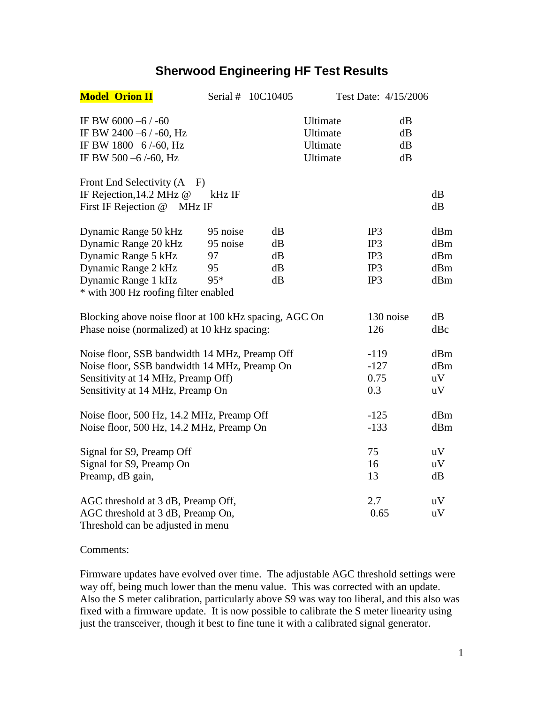## **Sherwood Engineering HF Test Results**

| <b>Model Orion II</b>                                                                                        |          | Serial # 10C10405 | Test Date: 4/15/2006                         |                      |     |
|--------------------------------------------------------------------------------------------------------------|----------|-------------------|----------------------------------------------|----------------------|-----|
| IF BW 6000 -6 / -60<br>IF BW 2400 -6 / -60, Hz<br>IF BW 1800 -6/-60, Hz<br>IF BW 500 -6/-60, Hz              |          |                   | Ultimate<br>Ultimate<br>Ultimate<br>Ultimate | dB<br>dB<br>dB<br>dB |     |
| Front End Selectivity $(A - F)$                                                                              |          |                   |                                              |                      |     |
| IF Rejection, 14.2 MHz @                                                                                     | kHz IF   |                   |                                              |                      | dB  |
| First IF Rejection @<br>MHz IF                                                                               |          |                   |                                              |                      | dB  |
| Dynamic Range 50 kHz                                                                                         | 95 noise | dB                |                                              | IP3                  | dBm |
| Dynamic Range 20 kHz                                                                                         | 95 noise | dB                |                                              | IP3                  | dBm |
| Dynamic Range 5 kHz                                                                                          | 97       | dB                |                                              | IP3                  | dBm |
| Dynamic Range 2 kHz                                                                                          | 95       | dB                |                                              | IP3                  | dBm |
| Dynamic Range 1 kHz                                                                                          | 95*      | dB                |                                              | IP3                  | dBm |
| * with 300 Hz roofing filter enabled                                                                         |          |                   |                                              |                      |     |
| Blocking above noise floor at 100 kHz spacing, AGC On                                                        |          |                   |                                              | 130 noise            | dB  |
| Phase noise (normalized) at 10 kHz spacing:                                                                  |          |                   |                                              | 126                  | dBc |
| Noise floor, SSB bandwidth 14 MHz, Preamp Off                                                                |          |                   |                                              | $-119$               | dBm |
| Noise floor, SSB bandwidth 14 MHz, Preamp On                                                                 |          |                   |                                              | $-127$               | dBm |
| Sensitivity at 14 MHz, Preamp Off)                                                                           |          |                   |                                              | 0.75                 | uV  |
| Sensitivity at 14 MHz, Preamp On                                                                             |          |                   |                                              | 0.3                  | uV  |
| Noise floor, 500 Hz, 14.2 MHz, Preamp Off                                                                    |          |                   |                                              | $-125$               | dBm |
| Noise floor, 500 Hz, 14.2 MHz, Preamp On                                                                     |          |                   | $-133$                                       | dBm                  |     |
| Signal for S9, Preamp Off                                                                                    |          |                   |                                              | 75                   | uV  |
| Signal for S9, Preamp On                                                                                     |          |                   | 16                                           | uV                   |     |
| Preamp, dB gain,                                                                                             |          |                   |                                              | 13                   | dB  |
|                                                                                                              |          |                   |                                              | 2.7                  | uV  |
|                                                                                                              |          |                   |                                              |                      |     |
|                                                                                                              |          |                   |                                              |                      |     |
| AGC threshold at 3 dB, Preamp Off,<br>AGC threshold at 3 dB, Preamp On,<br>Threshold can be adjusted in menu |          |                   |                                              | 0.65                 | uV  |

Comments:

Firmware updates have evolved over time. The adjustable AGC threshold settings were way off, being much lower than the menu value. This was corrected with an update. Also the S meter calibration, particularly above S9 was way too liberal, and this also was fixed with a firmware update. It is now possible to calibrate the S meter linearity using just the transceiver, though it best to fine tune it with a calibrated signal generator.